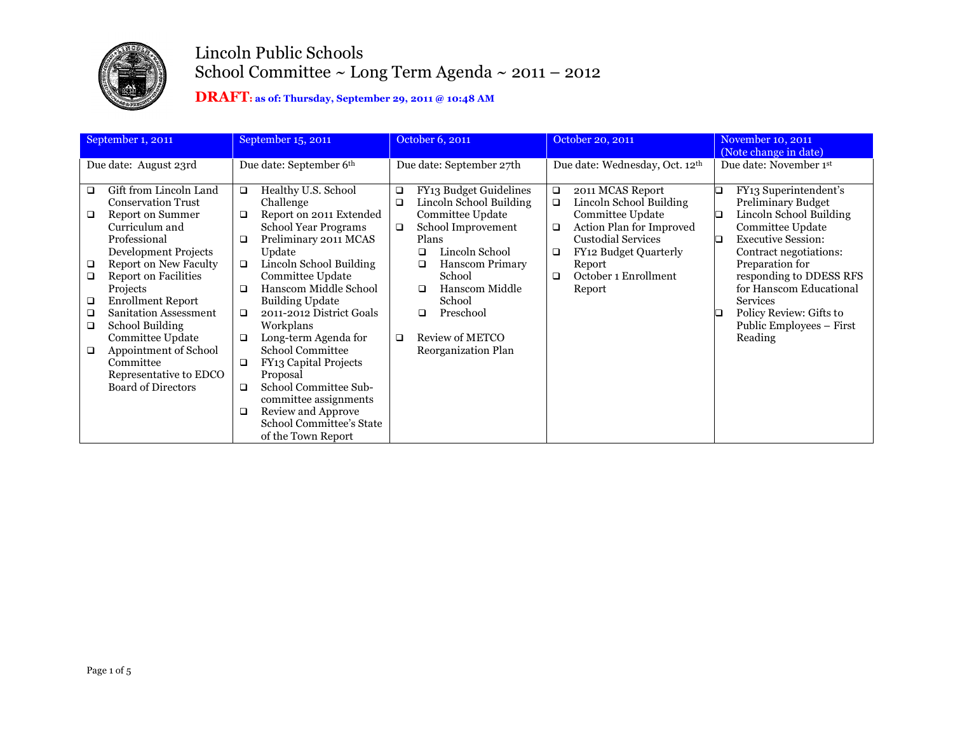

| September 1, 2011<br>September 15, 2011                                                                                                                                                                                                                                                                                                                                                                                                                                                |                                                                                                                                                                                                                                                                                                                                                                                                                                                                                                                                                                               | October 6, 2011                                                                                                                                                                                                                                                                                                       | October 20, 2011                                                                                                                                                                                                                      | November 10, 2011<br>(Note change in date)                                                                                                                                                                                                                                                                                          |  |
|----------------------------------------------------------------------------------------------------------------------------------------------------------------------------------------------------------------------------------------------------------------------------------------------------------------------------------------------------------------------------------------------------------------------------------------------------------------------------------------|-------------------------------------------------------------------------------------------------------------------------------------------------------------------------------------------------------------------------------------------------------------------------------------------------------------------------------------------------------------------------------------------------------------------------------------------------------------------------------------------------------------------------------------------------------------------------------|-----------------------------------------------------------------------------------------------------------------------------------------------------------------------------------------------------------------------------------------------------------------------------------------------------------------------|---------------------------------------------------------------------------------------------------------------------------------------------------------------------------------------------------------------------------------------|-------------------------------------------------------------------------------------------------------------------------------------------------------------------------------------------------------------------------------------------------------------------------------------------------------------------------------------|--|
| Due date: August 23rd                                                                                                                                                                                                                                                                                                                                                                                                                                                                  | Due date: September 6th                                                                                                                                                                                                                                                                                                                                                                                                                                                                                                                                                       | Due date: September 27th                                                                                                                                                                                                                                                                                              | Due date: Wednesday, Oct. 12 <sup>th</sup>                                                                                                                                                                                            | Due date: November 1st                                                                                                                                                                                                                                                                                                              |  |
| Gift from Lincoln Land<br>❏<br><b>Conservation Trust</b><br><b>Report on Summer</b><br>□<br>Curriculum and<br>Professional<br><b>Development Projects</b><br><b>Report on New Faculty</b><br>$\Box$<br><b>Report on Facilities</b><br>$\Box$<br>Projects<br><b>Enrollment Report</b><br>□<br><b>Sanitation Assessment</b><br>$\Box$<br>School Building<br>$\Box$<br>Committee Update<br>Appointment of School<br>□<br>Committee<br>Representative to EDCO<br><b>Board of Directors</b> | Healthy U.S. School<br>$\Box$<br>Challenge<br>Report on 2011 Extended<br>□<br>School Year Programs<br>Preliminary 2011 MCAS<br>$\Box$<br>Update<br>Lincoln School Building<br>$\Box$<br>Committee Update<br>Hanscom Middle School<br>$\Box$<br><b>Building Update</b><br>2011-2012 District Goals<br>$\Box$<br>Workplans<br>Long-term Agenda for<br>$\Box$<br>School Committee<br><b>FY13 Capital Projects</b><br>$\Box$<br>Proposal<br>School Committee Sub-<br>$\Box$<br>committee assignments<br>Review and Approve<br>□<br>School Committee's State<br>of the Town Report | FY13 Budget Guidelines<br>□<br>Lincoln School Building<br>$\Box$<br>Committee Update<br>School Improvement<br>$\Box$<br>Plans<br>Lincoln School<br>$\Box$<br><b>Hanscom Primary</b><br>$\Box$<br>School<br>Hanscom Middle<br>$\Box$<br>School<br>Preschool<br>◻<br>Review of METCO<br>□<br><b>Reorganization Plan</b> | 2011 MCAS Report<br>$\Box$<br>Lincoln School Building<br>$\Box$<br>Committee Update<br>Action Plan for Improved<br>$\Box$<br><b>Custodial Services</b><br>FY12 Budget Quarterly<br>□<br>Report<br>October 1 Enrollment<br>□<br>Report | FY13 Superintendent's<br>❏<br>Preliminary Budget<br>Lincoln School Building<br>□<br>Committee Update<br><b>Executive Session:</b><br>D<br>Contract negotiations:<br>Preparation for<br>responding to DDESS RFS<br>for Hanscom Educational<br><b>Services</b><br>Policy Review: Gifts to<br>ப<br>Public Employees – First<br>Reading |  |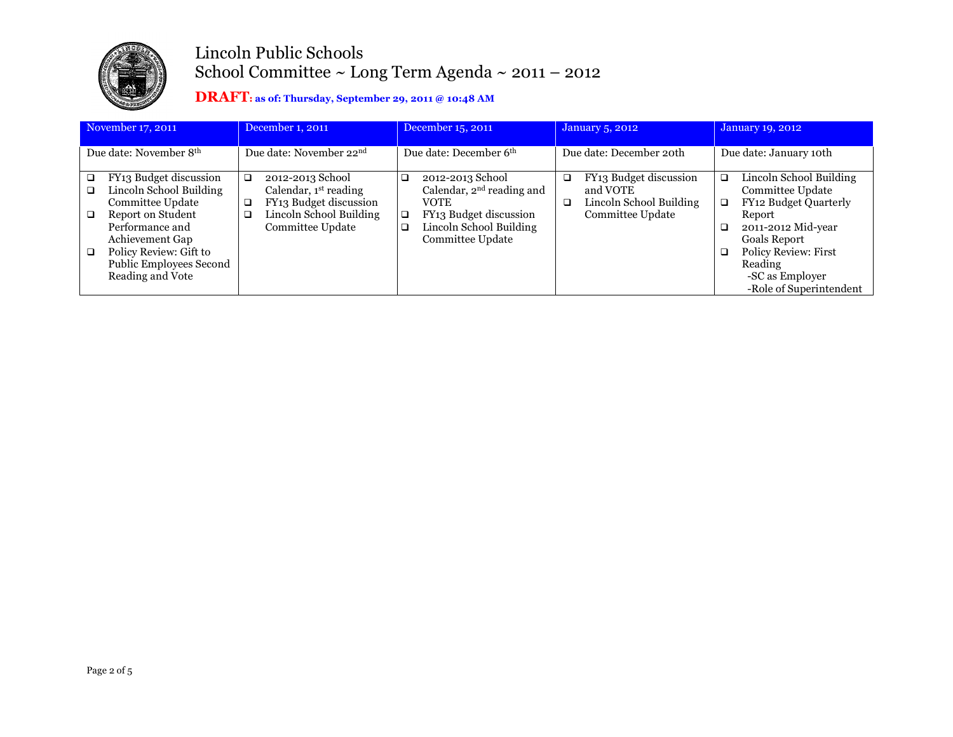

| November 17, 2011<br>December 1, 2011                                                                                                                                                                                                                    |                                                                                                                                 | December 15, 2011                                                                                                                                                     | <b>January 5, 2012</b>                                                                      | January 19, 2012                                                                                                                                                                                                               |  |
|----------------------------------------------------------------------------------------------------------------------------------------------------------------------------------------------------------------------------------------------------------|---------------------------------------------------------------------------------------------------------------------------------|-----------------------------------------------------------------------------------------------------------------------------------------------------------------------|---------------------------------------------------------------------------------------------|--------------------------------------------------------------------------------------------------------------------------------------------------------------------------------------------------------------------------------|--|
| Due date: November 8 <sup>th</sup>                                                                                                                                                                                                                       | Due date: November 22 <sup>nd</sup>                                                                                             | Due date: December 6 <sup>th</sup>                                                                                                                                    | Due date: December 20th                                                                     | Due date: January 10th                                                                                                                                                                                                         |  |
| FY13 Budget discussion<br>$\Box$<br>Lincoln School Building<br>$\Box$<br>Committee Update<br>Report on Student<br>$\Box$<br>Performance and<br>Achievement Gap<br>Policy Review: Gift to<br>$\Box$<br><b>Public Employees Second</b><br>Reading and Vote | 2012-2013 School<br>□<br>Calendar, $1st$ reading<br>FY13 Budget discussion<br>o.<br>Lincoln School Building<br>Committee Update | 2012-2013 School<br>$\Box$<br>Calendar, $2nd$ reading and<br><b>VOTE</b><br>FY13 Budget discussion<br>$\Box$<br>Lincoln School Building<br>$\Box$<br>Committee Update | FY13 Budget discussion<br>◻<br>and VOTE<br>Lincoln School Building<br>❏<br>Committee Update | Lincoln School Building<br>◻<br>Committee Update<br>FY12 Budget Quarterly<br>α.<br>Report<br>2011-2012 Mid-year<br><b>Goals Report</b><br><b>Policy Review: First</b><br>Reading<br>-SC as Employer<br>-Role of Superintendent |  |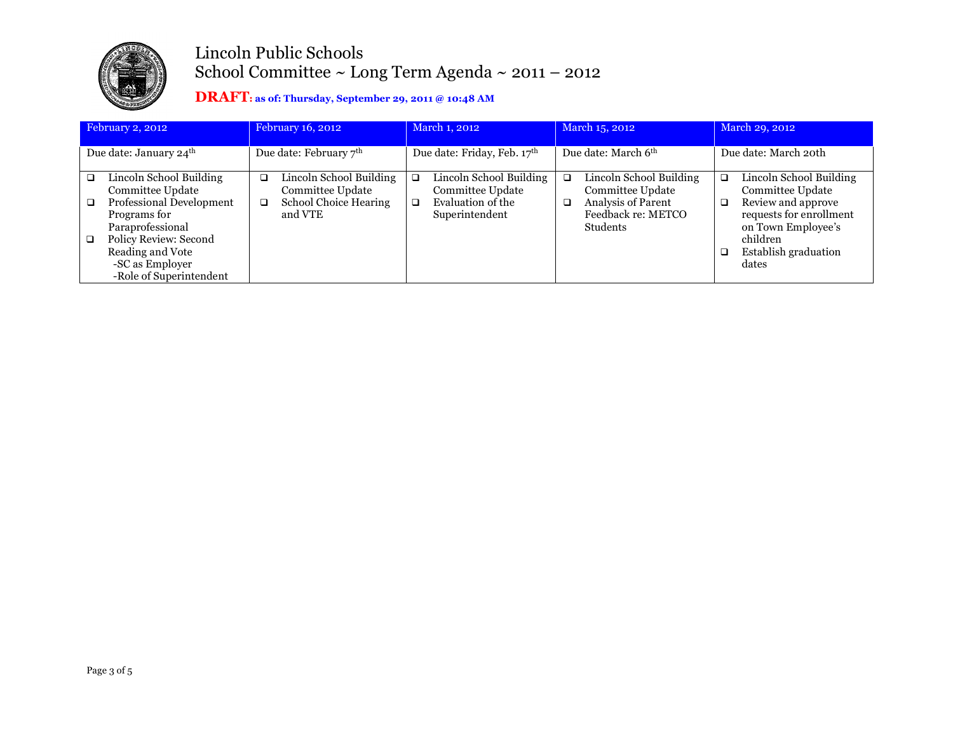

| February 2, 2012                   |                                                                                                                                                                                                        |                                    | February 16, 2012                                                               |                             | March 1, 2012                                                                             |                                 | March 15, 2012                                                                                                    |                      | March 29, 2012                                                                                                                                                  |
|------------------------------------|--------------------------------------------------------------------------------------------------------------------------------------------------------------------------------------------------------|------------------------------------|---------------------------------------------------------------------------------|-----------------------------|-------------------------------------------------------------------------------------------|---------------------------------|-------------------------------------------------------------------------------------------------------------------|----------------------|-----------------------------------------------------------------------------------------------------------------------------------------------------------------|
| Due date: January 24 <sup>th</sup> |                                                                                                                                                                                                        | Due date: February 7 <sup>th</sup> |                                                                                 | Due date: Friday, Feb. 17th |                                                                                           | Due date: March 6 <sup>th</sup> |                                                                                                                   | Due date: March 20th |                                                                                                                                                                 |
| $\Box$<br>$\Box$<br>$\Box$         | Lincoln School Building<br>Committee Update<br>Professional Development<br>Programs for<br>Paraprofessional<br>Policy Review: Second<br>Reading and Vote<br>-SC as Employer<br>-Role of Superintendent | □<br>□                             | Lincoln School Building<br>Committee Update<br>School Choice Hearing<br>and VTE | □<br>$\Box$                 | Lincoln School Building<br><b>Committee Update</b><br>Evaluation of the<br>Superintendent | □<br>□                          | Lincoln School Building<br>Committee Update<br><b>Analysis of Parent</b><br>Feedback re: METCO<br><b>Students</b> | a.                   | Lincoln School Building<br>Committee Update<br>Review and approve<br>requests for enrollment<br>on Town Employee's<br>children<br>Establish graduation<br>dates |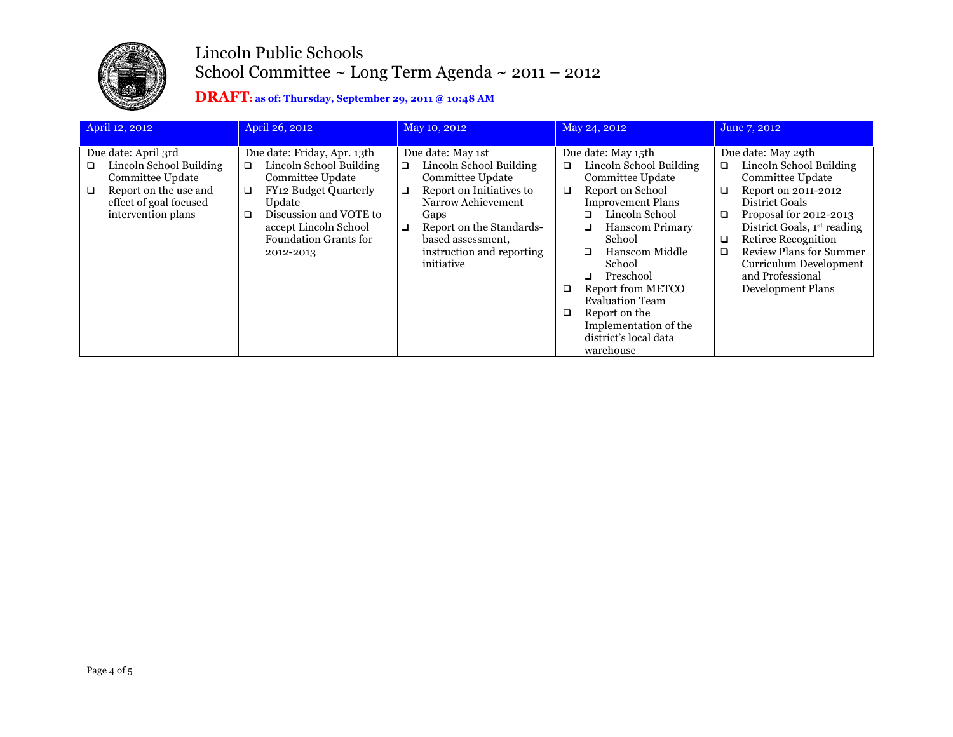

| April 12, 2012<br>April 26, 2012                                                                                                           |                                                                                                                                                                                                                            | May 10, 2012                                                                                                                                                                                                                    | May 24, 2012                                                                                                                                                                                                                                                                                | June 7, 2012                                                                                                                                                                                                                                                                                                                         |  |
|--------------------------------------------------------------------------------------------------------------------------------------------|----------------------------------------------------------------------------------------------------------------------------------------------------------------------------------------------------------------------------|---------------------------------------------------------------------------------------------------------------------------------------------------------------------------------------------------------------------------------|---------------------------------------------------------------------------------------------------------------------------------------------------------------------------------------------------------------------------------------------------------------------------------------------|--------------------------------------------------------------------------------------------------------------------------------------------------------------------------------------------------------------------------------------------------------------------------------------------------------------------------------------|--|
| Due date: April 3rd                                                                                                                        | Due date: Friday, Apr. 13th                                                                                                                                                                                                | Due date: May 1st                                                                                                                                                                                                               | Due date: May 15th                                                                                                                                                                                                                                                                          | Due date: May 29th                                                                                                                                                                                                                                                                                                                   |  |
| Lincoln School Building<br>❏<br><b>Committee Update</b><br>Report on the use and<br>$\Box$<br>effect of goal focused<br>intervention plans | Lincoln School Building<br>$\Box$<br><b>Committee Update</b><br>FY <sub>12</sub> Budget Quarterly<br>$\Box$<br>Update<br>Discussion and VOTE to<br>□<br>accept Lincoln School<br><b>Foundation Grants for</b><br>2012-2013 | Lincoln School Building<br>$\Box$<br>Committee Update<br>Report on Initiatives to<br>$\Box$<br>Narrow Achievement<br>Gaps<br>Report on the Standards-<br>$\Box$<br>based assessment,<br>instruction and reporting<br>initiative | Lincoln School Building<br>□<br>Committee Update<br>Report on School<br>□<br><b>Improvement Plans</b><br>Lincoln School<br>□<br>Hanscom Primary<br>□<br>School<br>Hanscom Middle<br>□<br>School<br>Preschool<br>□<br>Report from METCO<br>❏<br><b>Evaluation Team</b><br>Report on the<br>❏ | Lincoln School Building<br>$\Box$<br>Committee Update<br>Report on 2011-2012<br>$\Box$<br>District Goals<br>Proposal for 2012-2013<br>$\Box$<br>District Goals, 1 <sup>st</sup> reading<br>Retiree Recognition<br>□<br><b>Review Plans for Summer</b><br>□<br><b>Curriculum Development</b><br>and Professional<br>Development Plans |  |
|                                                                                                                                            |                                                                                                                                                                                                                            |                                                                                                                                                                                                                                 | Implementation of the                                                                                                                                                                                                                                                                       |                                                                                                                                                                                                                                                                                                                                      |  |
|                                                                                                                                            |                                                                                                                                                                                                                            |                                                                                                                                                                                                                                 | district's local data<br>warehouse                                                                                                                                                                                                                                                          |                                                                                                                                                                                                                                                                                                                                      |  |
|                                                                                                                                            |                                                                                                                                                                                                                            |                                                                                                                                                                                                                                 |                                                                                                                                                                                                                                                                                             |                                                                                                                                                                                                                                                                                                                                      |  |